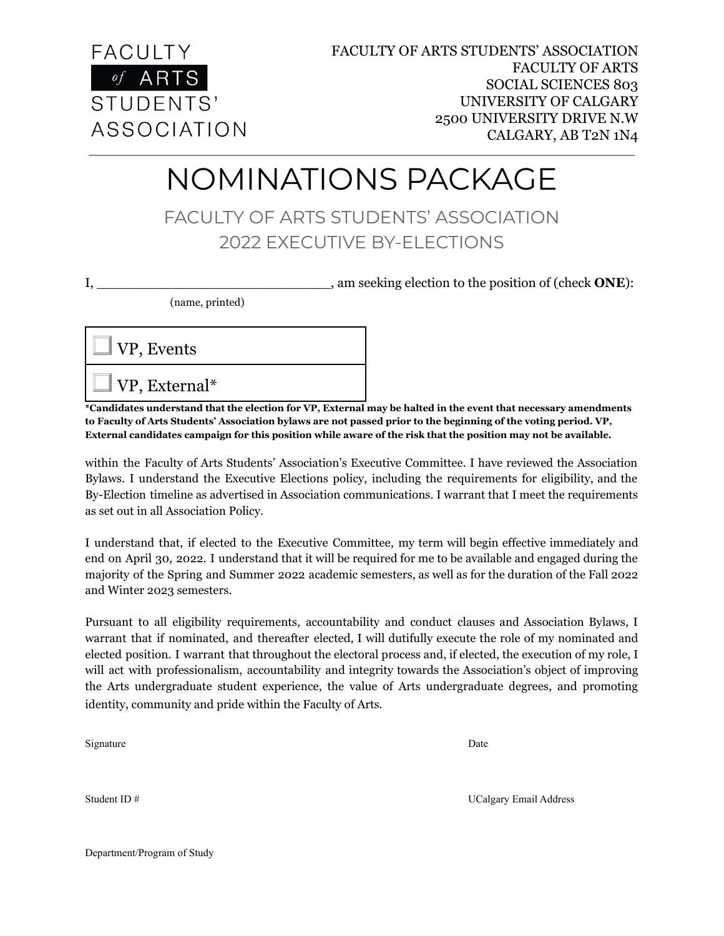

## NOMINATIONS PACKAGE

FACULTY OF ARTS STUDENTS' ASSOCIATION 2022 EXECUTIVE BY-ELECTIONS

I, \_\_\_\_\_\_\_\_\_\_\_\_\_\_\_\_\_\_\_\_\_\_\_\_\_\_\_\_, am seeking election to the position of (check **ONE**):

(name, printed)



\*Candidates understand that the election for VP, External may be halted in the event that necessary amendments to Faculty of Arts Students' Association bylaws are not passed prior to the beginning of the voting period. VP, External candidates campaign for this position while aware of the risk that the position may not be available.

within the Faculty of Arts Students' Association's Executive Committee. I have reviewed the Association Bylaws. I understand the Executive Elections policy, including the requirements for eligibility, and the By-Election timeline as advertised in Association communications. I warrant that I meet the requirements as set out in all Association Policy.

I understand that, if elected to the Executive Committee, my term will begin effective immediately and end on April 30, 2022. I understand that it will be required for me to be available and engaged during the majority of the Spring and Summer 2022 academic semesters, as well as for the duration of the Fall 2022 and Winter 2023 semesters.

Pursuant to all eligibility requirements, accountability and conduct clauses and Association Bylaws, I warrant that if nominated, and thereafter elected, I will dutifully execute the role of my nominated and elected position. I warrant that throughout the electoral process and, if elected, the execution of my role, I will act with professionalism, accountability and integrity towards the Association's object of improving the Arts undergraduate student experience, the value of Arts undergraduate degrees, and promoting identity, community and pride within the Faculty of Arts.

Signature Date

Student ID # UCalgary Email Address

Department/Program of Study